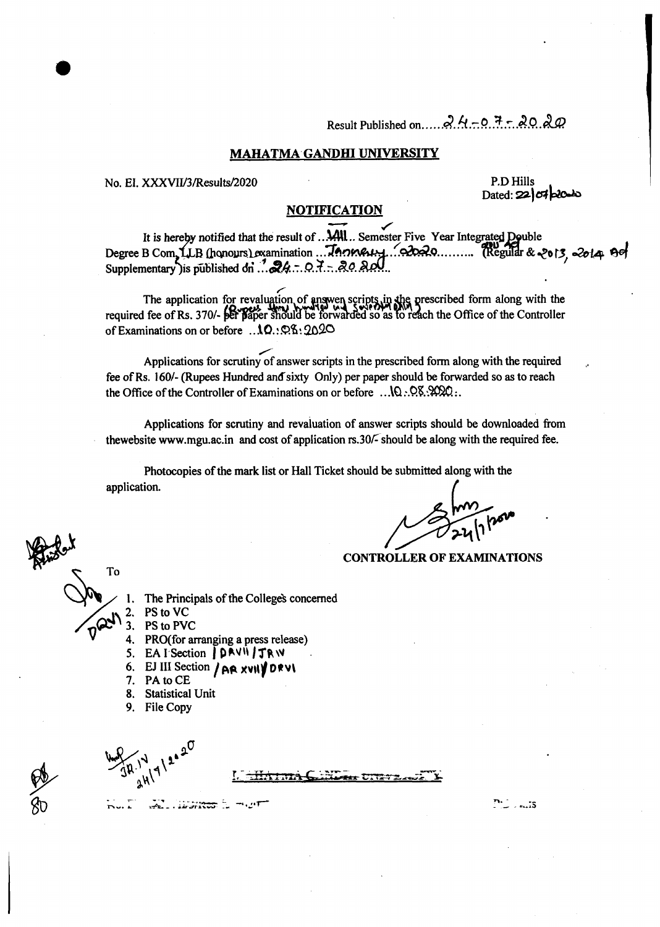#### MAHATMA GANDHI UNIVERSITY

No. EI. XXXVII/3/Results/2020

P.D Hills Dated:  $22$   $\sigma$   $\sigma$   $\sigma$ 

#### **NOTIFICATION**

It is hereby notified that the result of ... AAII... Semester Five Year Integrated Double Degree B Com, LLB (honours) examination ... Tomeu, 20020......... (Regular & 2013, 2014 90)

The application for revaluation of answen scripts in the prescribed form along with the required fee of Rs. 370/- per paper should be forwarded so as to reach the Office of the Controller of Examinations on or before ... 10. 98:2020

Applications for scrutiny of answer scripts in the prescribed form along with the required fee of Rs. 160/- (Rupees Hundred and sixty Only) per paper should be forwarded so as to reach the Office of the Controller of Examinations on or before  $\ldots$  10 $\ldots$  08 $\ldots$  2020:

Applications for scrutiny and revaluation of answer scripts should be downloaded from thewebsite www.mgu.ac.in and cost of application rs.30/- should be along with the required fee.

Photocopies of the mark list or Hall Ticket should be submitted along with the application.

**CONTROLLER OF EXAMINATIONS** 

- To
	- The Principals of the College's concerned
	- PS to VC
	- 3. PS to PVC
	- 4. PRO(for arranging a press release)
	- 5. EAI Section | DRVII JTRW
	- 6. EJ III Section / AR XVII DRVI

 $\mathcal{L}_{\mathbf{r}}$  , is striven by

- PA to CE 7.
- $\mathbf{R}$ **Statistical Unit**
- 9. File Copy

 $\mathbf{a}$ . 15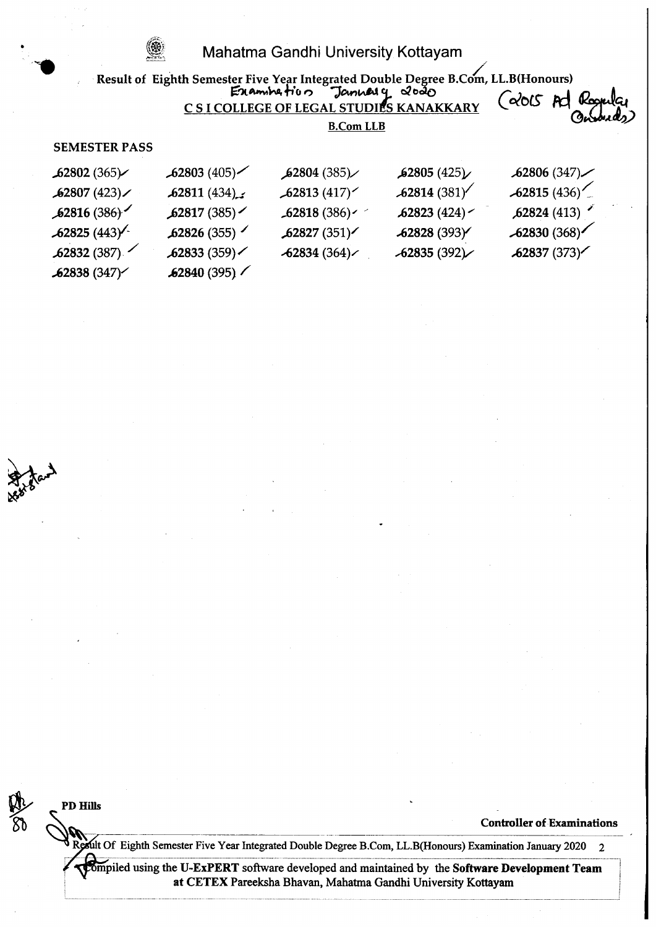۱

|                      |                          | Result of Eighth Semester Five Year Integrated Double Degree B.Com, LL.B(Honours)<br>Example $f' \circ \circ$ January 2000 |               |                  |  |
|----------------------|--------------------------|----------------------------------------------------------------------------------------------------------------------------|---------------|------------------|--|
|                      |                          | C S I COLLEGE OF LEGAL STUDIES KANAKKARY                                                                                   |               | ( တံလ<br>Koopula |  |
|                      |                          | <b>B.Com LLB</b>                                                                                                           |               |                  |  |
| <b>SEMESTER PASS</b> |                          |                                                                                                                            |               |                  |  |
| 62802(365)           | $\frac{1}{262803}$ (405) | 62804(385)                                                                                                                 | 62805(425)    | .62806(347)      |  |
| 62807(423)           | .62811(434)              | 62813(417)                                                                                                                 | $-62814(381)$ | $-62815(436)$    |  |
| 62816(386)           | 62817(385)               | $-62818(386)$                                                                                                              | 62823(424)    | 62824(413)       |  |
| $62825(443)^{2}$     | 62826(355)               | .62827(351)                                                                                                                | 62828 (393)   | $-62830(368)$    |  |
| 62832(387)           | 62833(359)               | $-62834(364)$                                                                                                              | $-62835(392)$ | 62837(373)       |  |
| .62838(347)          | $\frac{62840}{(395)}$    |                                                                                                                            |               |                  |  |

**ARTIST** 

PP Hills

Controller of Examinations

1 Result Of Eighth Semester Five Year Integrated Double Degree B.Com, LL.B(Honours) Examination January 2020 2

Trompiled using the U-ExPERT software developed and maintained by the Software Development Team at CETEX Pareeksha Bhavan, Mahatma Gandhi University Kottayam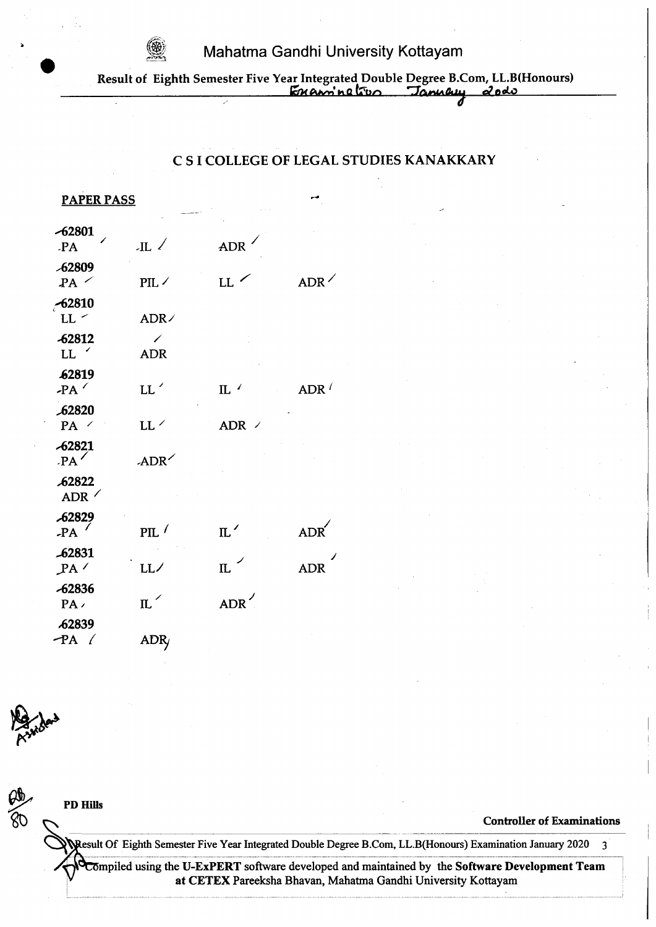

Result of Eighth Semester Five Year Integrated Double Degree B.Com, LL.B(Honours)  $km$ aning to January 20do

# C S I COLLEGE OF LEGAL STUDIES KANAKKARY

| <u>PAPER PASS</u>        |                             |                          |                   |
|--------------------------|-----------------------------|--------------------------|-------------------|
| $-62801$<br><b>PA</b>    | $\mathbb{H}$                | ADR                      |                   |
| -62809<br>PA             | $PIL \angle$                | $LL$ $\sim$              | ADR               |
| 62810<br>LL <sub>2</sub> | ADR/                        |                          |                   |
| -62812<br>LL             | ✓<br><b>ADR</b>             |                          |                   |
| <b>62819</b><br>$-PA$    | LL'                         | $\rm{IL}$                | ADR $\frac{1}{2}$ |
| 62820<br>PA /            | LL $\overline{\phantom{a}}$ | $ADR$ /                  |                   |
| -62821<br>$PA^{\prime}$  | ADR <sup>1</sup>            |                          |                   |
| 62822<br>ADR             |                             |                          |                   |
| <b>62829</b><br>$-PA$    | PIL                         | $\mathrm{m}$ $^{\prime}$ | ADR               |
| -62831<br>PA'            | LL/                         | $\mathbb{L}$             | <b>ADR</b>        |
| -62836<br>PA             | $\mathbb{L}^{\times}$       | ADR <sup>/</sup>         |                   |
| 62839<br>$PA$ $($        | ADR                         |                          |                   |
|                          |                             |                          |                   |



at CETEX Pareeksha Bhavan, Mahatma Gandhi University Kottayam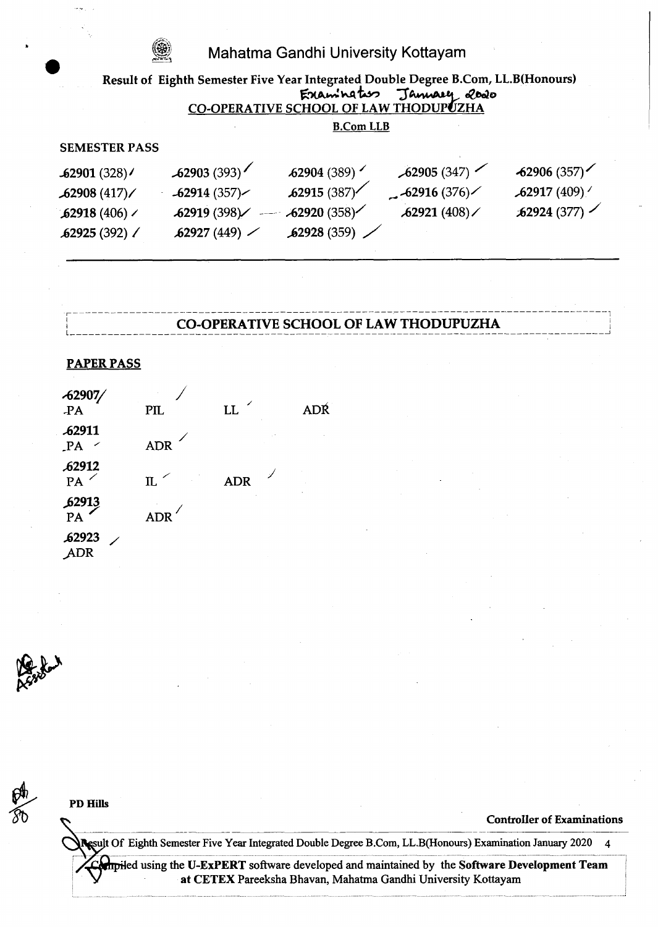#### Result of Eighth Semester Five Year Integrated Double Degree B.Com, LL.B(Honours) Examination January 2020 **B.Com LLB SEMESTER PASS**  $-62903(393)$  $62905(347)$  $62904(389)$  $62906(357)$  $-62901(328)$  $62915(387)$  $62917(409)'$  $-62916(376)$  $-62914(357)$  $62908(417)$  $-62920(358)$  $62921(408)$  $\frac{1}{2}$  62924 (377)  $62919(398)$  $62918(406)$  $62927(449)$ 62928 (359) 62925 (392) /

### **CO-OPERATIVE SCHOOL OF LAW THODUPUZHA**

#### **PAPER PASS**

| $-62907/$<br><b>PA</b> | <b>PIL</b>                 | LL.        | <b>ADŔ</b> |
|------------------------|----------------------------|------------|------------|
| <b>62911</b><br>PA     | <b>ADR</b>                 |            |            |
| 62912<br>PA            | $\mathfrak{n}$ $^{\prime}$ | <b>ADR</b> |            |
| $\frac{62913}{PA}$     | <b>ADR</b>                 |            |            |
| <b>62923</b><br>ADR    |                            |            |            |



**PD Hills** 

#### **Controller of Examinations**

Result Of Eighth Semester Five Year Integrated Double Degree B.Com, LL.B(Honours) Examination January 2020  $\overline{4}$ 

**Ampiled using the U-ExPERT** software developed and maintained by the Software Development Team at CETEX Pareeksha Bhavan, Mahatma Gandhi University Kottayam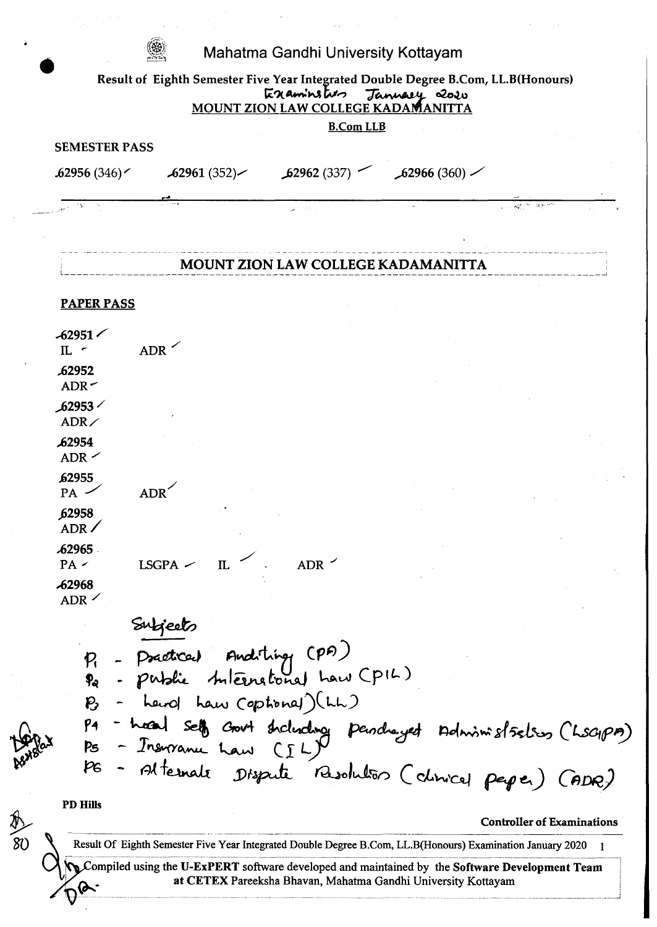| <b>B.Com LLB</b><br><b>SEMESTER PASS</b><br>62962(337)<br>.62956(346)<br>$\sim$ 62961 (352) $\sim$ |            |
|----------------------------------------------------------------------------------------------------|------------|
|                                                                                                    |            |
|                                                                                                    | 62966(360) |
|                                                                                                    |            |
|                                                                                                    |            |
| <b>MOUNT ZION LAW COLLEGE KADAMANITTA</b>                                                          |            |
| <b>PAPER PASS</b>                                                                                  |            |
|                                                                                                    |            |
| $-62951$<br><b>ADR</b><br>$\mathbb{L}$ $\sim$                                                      |            |
| 62952<br>ADR<                                                                                      |            |
| ∕ 62953گ<br>ADR                                                                                    |            |
| <b>62954</b><br>ADR                                                                                |            |
| 62955<br>ADR'<br>PA                                                                                |            |
| 62958<br>ADR /                                                                                     |            |
| <b>62965</b><br>$LSGPA$ $-$<br>IL<br>ADR<br>PA <                                                   |            |
| <b>62968</b><br>ADR                                                                                |            |
| Subjects                                                                                           |            |
|                                                                                                    |            |
| - Practical Anditing (PA)<br>- patric tuternational how (PIL)<br>$P_{1}$                           |            |
| - Lewol Law Coptional) (LL)<br>$\mathcal{P}$                                                       |            |
| P <sub>4</sub>                                                                                     |            |
| - hosal self court stricture pendre yet Administration (LSGIPA)<br>- Insurance haw (IL)<br>Ps      |            |
| pg<br>- Alternate Dispute Resolution (clinical people)                                             | (600)      |
| <b>PD Hills</b>                                                                                    |            |

 $\sim 10^6$ 

 $\ddot{\bullet}$ 

**BRANS** 

 $\ddot{\phantom{a}}$